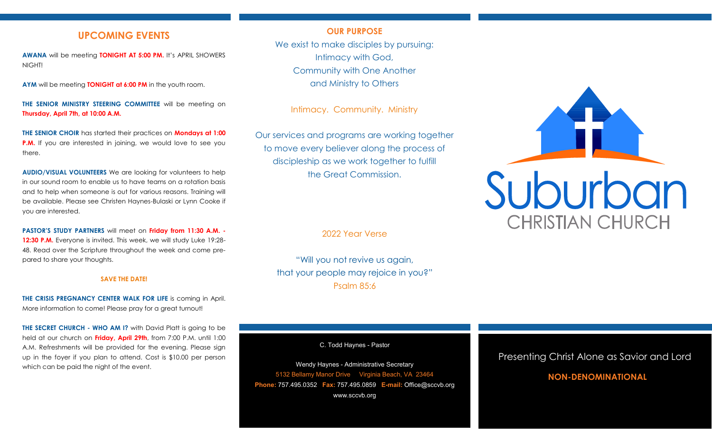## **UPCOMING EVENTS**

**AWANA** will be meeting **TONIGHT AT 5:00 PM.** It's APRIL SHOWERS NIGHT!

**AYM** will be meeting **TONIGHT at 6:00 PM** in the youth room.

**THE SENIOR MINISTRY STEERING COMMITTEE** will be meeting on **Thursday, April 7th, at 10:00 A.M.**

**THE SENIOR CHOIR** has started their practices on **Mondays at 1:00 P.M.** If you are interested in joining, we would love to see you there.

**AUDIO/VISUAL VOLUNTEERS** We are looking for volunteers to help in our sound room to enable us to have teams on a rotation basis and to help when someone is out for various reasons. Training will be available. Please see Christen Haynes-Bulaski or Lynn Cooke if you are interested.

**PASTOR'S STUDY PARTNERS** will meet on **Friday from 11:30 A.M. - 12:30 P.M.** Everyone is invited. This week, we will study Luke 19:28- 48. Read over the Scripture throughout the week and come prepared to share your thoughts.

#### **SAVE THE DATE!**

**THE CRISIS PREGNANCY CENTER WALK FOR LIFE** is coming in April. More information to come! Please pray for a great turnout!

**THE SECRET CHURCH - WHO AM I?** with David Platt is going to be held at our church on **Friday, April 29th**, from 7:00 P.M. until 1:00 A.M. Refreshments will be provided for the evening. Please sign up in the foyer if you plan to attend. Cost is \$10.00 per person which can be paid the night of the event.

### **OUR PURPOSE**

We exist to make disciples by pursuing: Intimacy with God, Community with One Another and Ministry to Others

Intimacy. Community. Ministry

Our services and programs are working together to move every believer along the process of discipleship as we work together to fulfill the Great Commission.

2022 Year Verse

"Will you not revive us again, that your people may rejoice in you?" Psalm 85:6

C. Todd Haynes - Pastor

Wendy Haynes - Administrative Secretary 5132 Bellamy Manor Drive Virginia Beach, VA 23464 **Phone:** 757.495.0352 **Fax:** 757.495.0859 **E-mail:** Office@sccvb.org www.sccvb.org



## Presenting Christ Alone as Savior and Lord

## **NON-DENOMINATIONAL**